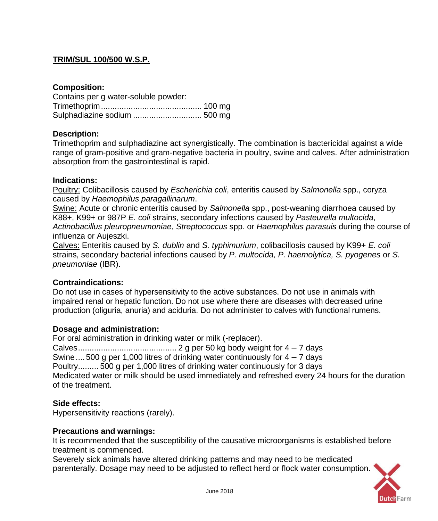# **TRIM/SUL 100/500 W.S.P.**

### **Composition:**

| Contains per g water-soluble powder: |  |
|--------------------------------------|--|
|                                      |  |
|                                      |  |

### **Description:**

Trimethoprim and sulphadiazine act synergistically. The combination is bactericidal against a wide range of gram-positive and gram-negative bacteria in poultry, swine and calves. After administration absorption from the gastrointestinal is rapid.

#### **Indications:**

Poultry: Colibacillosis caused by *Escherichia coli*, enteritis caused by *Salmonella* spp., coryza caused by *Haemophilus paragallinarum*.

Swine: Acute or chronic enteritis caused by *Salmonella* spp., post-weaning diarrhoea caused by K88+, K99+ or 987P *E. coli* strains, secondary infections caused by *Pasteurella multocida*, *Actinobacillus pleuropneumoniae*, *Streptococcus* spp. or *Haemophilus parasuis* during the course of influenza or Aujeszki.

Calves: Enteritis caused by *S. dublin* and *S. typhimurium*, colibacillosis caused by K99+ *E. coli*  strains, secondary bacterial infections caused by *P. multocida, P. haemolytica, S. pyogenes* or *S. pneumoniae* (IBR).

#### **Contraindications:**

Do not use in cases of hypersensitivity to the active substances. Do not use in animals with impaired renal or hepatic function. Do not use where there are diseases with decreased urine production (oliguria, anuria) and aciduria. Do not administer to calves with functional rumens.

#### **Dosage and administration:**

For oral administration in drinking water or milk (-replacer).

Calves........................................... 2 g per 50 kg body weight for 4 – 7 days Swine.... 500 g per 1,000 litres of drinking water continuously for  $4 - 7$  days Poultry......... 500 g per 1,000 litres of drinking water continuously for 3 days Medicated water or milk should be used immediately and refreshed every 24 hours for the duration of the treatment.

#### **Side effects:**

Hypersensitivity reactions (rarely).

#### **Precautions and warnings:**

It is recommended that the susceptibility of the causative microorganisms is established before treatment is commenced.

Severely sick animals have altered drinking patterns and may need to be medicated parenterally. Dosage may need to be adjusted to reflect herd or flock water consumption.